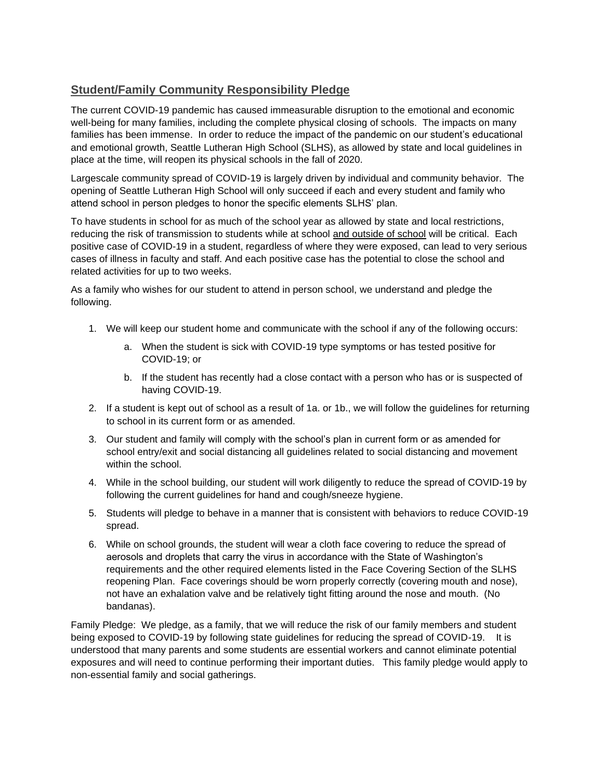## **Student/Family Community Responsibility Pledge**

The current COVID-19 pandemic has caused immeasurable disruption to the emotional and economic well-being for many families, including the complete physical closing of schools. The impacts on many families has been immense. In order to reduce the impact of the pandemic on our student's educational and emotional growth, Seattle Lutheran High School (SLHS), as allowed by state and local guidelines in place at the time, will reopen its physical schools in the fall of 2020.

Largescale community spread of COVID-19 is largely driven by individual and community behavior. The opening of Seattle Lutheran High School will only succeed if each and every student and family who attend school in person pledges to honor the specific elements SLHS' plan.

To have students in school for as much of the school year as allowed by state and local restrictions, reducing the risk of transmission to students while at school and outside of school will be critical. Each positive case of COVID-19 in a student, regardless of where they were exposed, can lead to very serious cases of illness in faculty and staff. And each positive case has the potential to close the school and related activities for up to two weeks.

As a family who wishes for our student to attend in person school, we understand and pledge the following.

- 1. We will keep our student home and communicate with the school if any of the following occurs:
	- a. When the student is sick with COVID-19 type symptoms or has tested positive for COVID-19; or
	- b. If the student has recently had a close contact with a person who has or is suspected of having COVID-19.
- 2. If a student is kept out of school as a result of 1a. or 1b., we will follow the guidelines for returning to school in its current form or as amended.
- 3. Our student and family will comply with the school's plan in current form or as amended for school entry/exit and social distancing all guidelines related to social distancing and movement within the school.
- 4. While in the school building, our student will work diligently to reduce the spread of COVID-19 by following the current guidelines for hand and cough/sneeze hygiene.
- 5. Students will pledge to behave in a manner that is consistent with behaviors to reduce COVID-19 spread.
- 6. While on school grounds, the student will wear a cloth face covering to reduce the spread of aerosols and droplets that carry the virus in accordance with the State of Washington's requirements and the other required elements listed in the Face Covering Section of the SLHS reopening Plan. Face coverings should be worn properly correctly (covering mouth and nose), not have an exhalation valve and be relatively tight fitting around the nose and mouth. (No bandanas).

Family Pledge: We pledge, as a family, that we will reduce the risk of our family members and student being exposed to COVID-19 by following state guidelines for reducing the spread of COVID-19. It is understood that many parents and some students are essential workers and cannot eliminate potential exposures and will need to continue performing their important duties. This family pledge would apply to non-essential family and social gatherings.